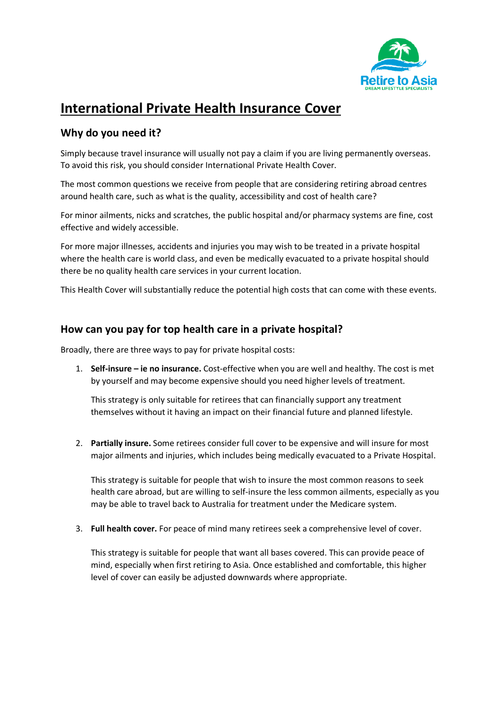

## **International Private Health Insurance Cover**

### **Why do you need it?**

Simply because travel insurance will usually not pay a claim if you are living permanently overseas. To avoid this risk, you should consider International Private Health Cover.

The most common questions we receive from people that are considering retiring abroad centres around health care, such as what is the quality, accessibility and cost of health care?

For minor ailments, nicks and scratches, the public hospital and/or pharmacy systems are fine, cost effective and widely accessible.

For more major illnesses, accidents and injuries you may wish to be treated in a private hospital where the health care is world class, and even be medically evacuated to a private hospital should there be no quality health care services in your current location.

This Health Cover will substantially reduce the potential high costs that can come with these events.

#### **How can you pay for top health care in a private hospital?**

Broadly, there are three ways to pay for private hospital costs:

1. **Self-insure – ie no insurance.** Cost-effective when you are well and healthy. The cost is met by yourself and may become expensive should you need higher levels of treatment.

This strategy is only suitable for retirees that can financially support any treatment themselves without it having an impact on their financial future and planned lifestyle.

2. **Partially insure.** Some retirees consider full cover to be expensive and will insure for most major ailments and injuries, which includes being medically evacuated to a Private Hospital.

This strategy is suitable for people that wish to insure the most common reasons to seek health care abroad, but are willing to self-insure the less common ailments, especially as you may be able to travel back to Australia for treatment under the Medicare system.

3. **Full health cover.** For peace of mind many retirees seek a comprehensive level of cover.

This strategy is suitable for people that want all bases covered. This can provide peace of mind, especially when first retiring to Asia. Once established and comfortable, this higher level of cover can easily be adjusted downwards where appropriate.